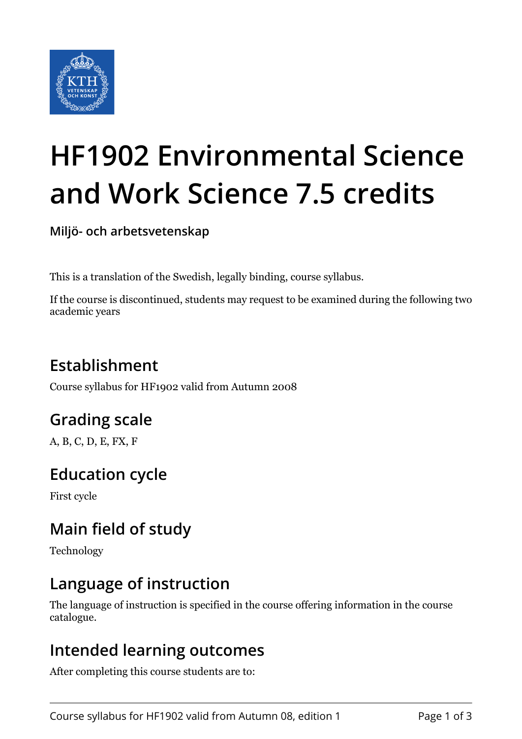

# **HF1902 Environmental Science and Work Science 7.5 credits**

**Miljö- och arbetsvetenskap**

This is a translation of the Swedish, legally binding, course syllabus.

If the course is discontinued, students may request to be examined during the following two academic years

# **Establishment**

Course syllabus for HF1902 valid from Autumn 2008

# **Grading scale**

A, B, C, D, E, FX, F

## **Education cycle**

First cycle

## **Main field of study**

Technology

### **Language of instruction**

The language of instruction is specified in the course offering information in the course catalogue.

#### **Intended learning outcomes**

After completing this course students are to: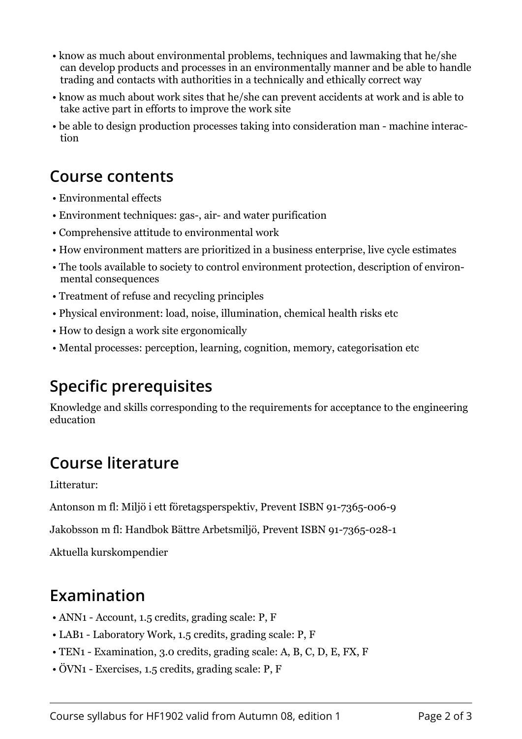- know as much about environmental problems, techniques and lawmaking that he/she can develop products and processes in an environmentally manner and be able to handle trading and contacts with authorities in a technically and ethically correct way
- know as much about work sites that he/she can prevent accidents at work and is able to take active part in efforts to improve the work site
- be able to design production processes taking into consideration man machine interaction

#### **Course contents**

- Environmental effects
- Environment techniques: gas-, air- and water purification
- Comprehensive attitude to environmental work
- How environment matters are prioritized in a business enterprise, live cycle estimates
- The tools available to society to control environment protection, description of environmental consequences
- Treatment of refuse and recycling principles
- Physical environment: load, noise, illumination, chemical health risks etc
- How to design a work site ergonomically
- Mental processes: perception, learning, cognition, memory, categorisation etc

## **Specific prerequisites**

Knowledge and skills corresponding to the requirements for acceptance to the engineering education

## **Course literature**

Litteratur:

Antonson m fl: Miljö i ett företagsperspektiv, Prevent ISBN 91-7365-006-9

Jakobsson m fl: Handbok Bättre Arbetsmiljö, Prevent ISBN 91-7365-028-1

Aktuella kurskompendier

#### **Examination**

- ANN1 Account, 1.5 credits, grading scale: P, F
- LAB1 Laboratory Work, 1.5 credits, grading scale: P, F
- TEN1 Examination, 3.0 credits, grading scale: A, B, C, D, E, FX, F
- ÖVN1 Exercises, 1.5 credits, grading scale: P, F